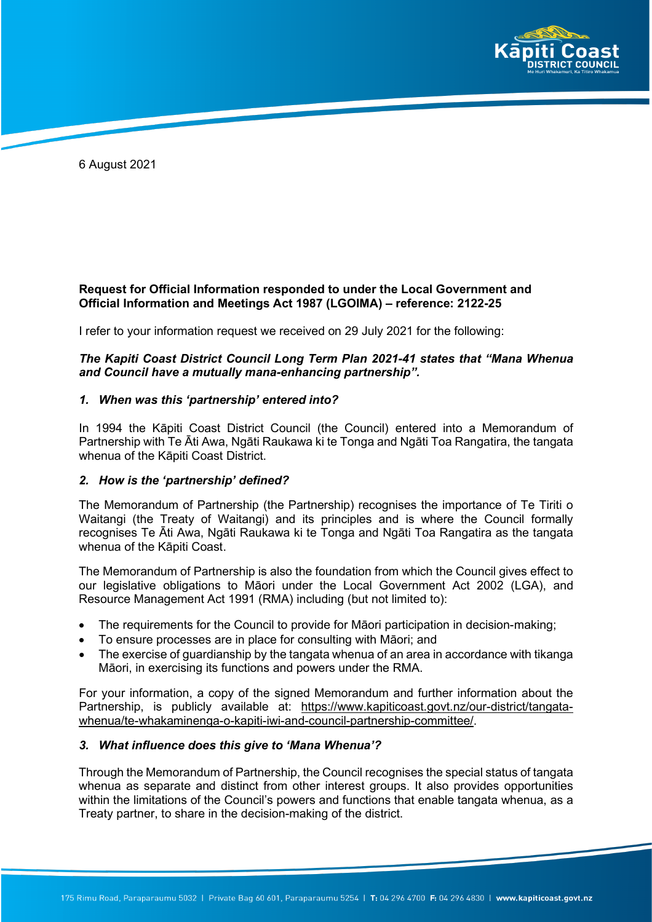

6 August 2021

## **Request for Official Information responded to under the Local Government and Official Information and Meetings Act 1987 (LGOIMA) – reference: 2122-25**

I refer to your information request we received on 29 July 2021 for the following:

# *The Kapiti Coast District Council Long Term Plan 2021-41 states that "Mana Whenua and Council have a mutually mana-enhancing partnership".*

### *1. When was this 'partnership' entered into?*

In 1994 the Kāpiti Coast District Council (the Council) entered into a Memorandum of Partnership with Te Āti Awa, Ngāti Raukawa ki te Tonga and Ngāti Toa Rangatira, the tangata whenua of the Kāpiti Coast District.

### *2. How is the 'partnership' defined?*

The Memorandum of Partnership (the Partnership) recognises the importance of Te Tiriti o Waitangi (the Treaty of Waitangi) and its principles and is where the Council formally recognises Te Āti Awa, Ngāti Raukawa ki te Tonga and Ngāti Toa Rangatira as the tangata whenua of the Kāpiti Coast.

The Memorandum of Partnership is also the foundation from which the Council gives effect to our legislative obligations to Māori under the Local Government Act 2002 (LGA), and Resource Management Act 1991 (RMA) including (but not limited to):

- The requirements for the Council to provide for Māori participation in decision-making;
- To ensure processes are in place for consulting with Māori; and
- The exercise of guardianship by the tangata whenua of an area in accordance with tikanga Māori, in exercising its functions and powers under the RMA.

For your information, a copy of the signed Memorandum and further information about the Partnership, is publicly available at: https://www.kapiticoast.govt.nz/our-district/tangatawhenua/te-whakaminenga-o-kapiti-iwi-and-council-partnership-committee/.

### *3. What influence does this give to 'Mana Whenua'?*

Through the Memorandum of Partnership, the Council recognises the special status of tangata whenua as separate and distinct from other interest groups. It also provides opportunities within the limitations of the Council's powers and functions that enable tangata whenua, as a Treaty partner, to share in the decision-making of the district.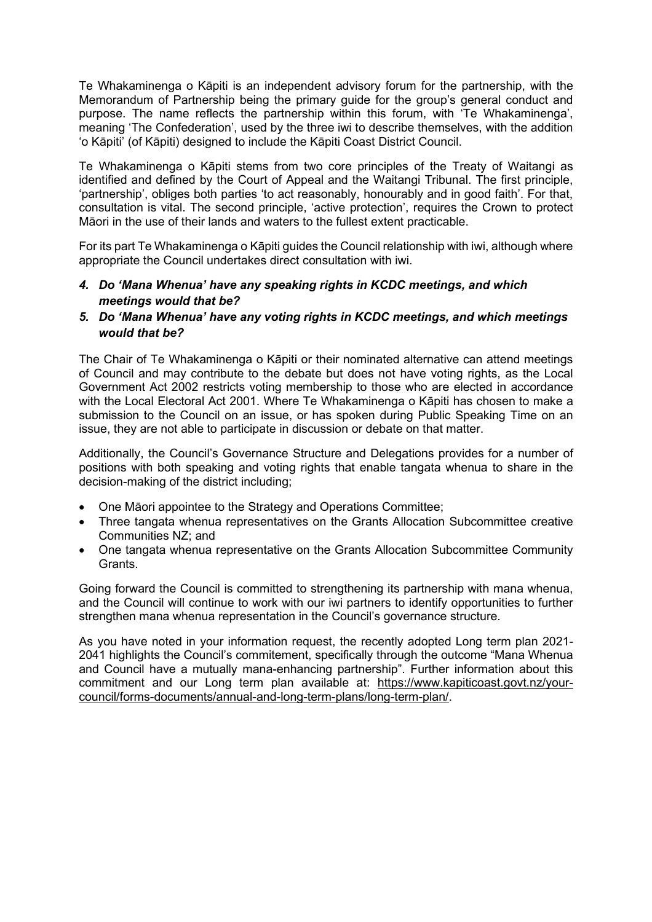Te Whakaminenga o Kāpiti is an independent advisory forum for the partnership, with the Memorandum of Partnership being the primary guide for the group's general conduct and purpose. The name reflects the partnership within this forum, with 'Te Whakaminenga', meaning 'The Confederation', used by the three iwi to describe themselves, with the addition 'o Kāpiti' (of Kāpiti) designed to include the Kāpiti Coast District Council.

Te Whakaminenga o Kāpiti stems from two core principles of the Treaty of Waitangi as identified and defined by the Court of Appeal and the Waitangi Tribunal. The first principle, 'partnership', obliges both parties 'to act reasonably, honourably and in good faith'. For that, consultation is vital. The second principle, 'active protection', requires the Crown to protect Māori in the use of their lands and waters to the fullest extent practicable.

For its part Te Whakaminenga o Kāpiti guides the Council relationship with iwi, although where appropriate the Council undertakes direct consultation with iwi.

- *4. Do 'Mana Whenua' have any speaking rights in KCDC meetings, and which meetings would that be?*
- *5. Do 'Mana Whenua' have any voting rights in KCDC meetings, and which meetings would that be?*

The Chair of Te Whakaminenga o Kāpiti or their nominated alternative can attend meetings of Council and may contribute to the debate but does not have voting rights, as the Local Government Act 2002 restricts voting membership to those who are elected in accordance with the Local Electoral Act 2001. Where Te Whakaminenga o Kāpiti has chosen to make a submission to the Council on an issue, or has spoken during Public Speaking Time on an issue, they are not able to participate in discussion or debate on that matter.

Additionally, the Council's Governance Structure and Delegations provides for a number of positions with both speaking and voting rights that enable tangata whenua to share in the decision-making of the district including;

- One Māori appointee to the Strategy and Operations Committee;
- Three tangata whenua representatives on the Grants Allocation Subcommittee creative Communities NZ; and
- One tangata whenua representative on the Grants Allocation Subcommittee Community Grants.

Going forward the Council is committed to strengthening its partnership with mana whenua, and the Council will continue to work with our iwi partners to identify opportunities to further strengthen mana whenua representation in the Council's governance structure.

As you have noted in your information request, the recently adopted Long term plan 2021- 2041 highlights the Council's commitement, specifically through the outcome "Mana Whenua and Council have a mutually mana-enhancing partnership". Further information about this commitment and our Long term plan available at: https://www.kapiticoast.govt.nz/yourcouncil/forms-documents/annual-and-long-term-plans/long-term-plan/.